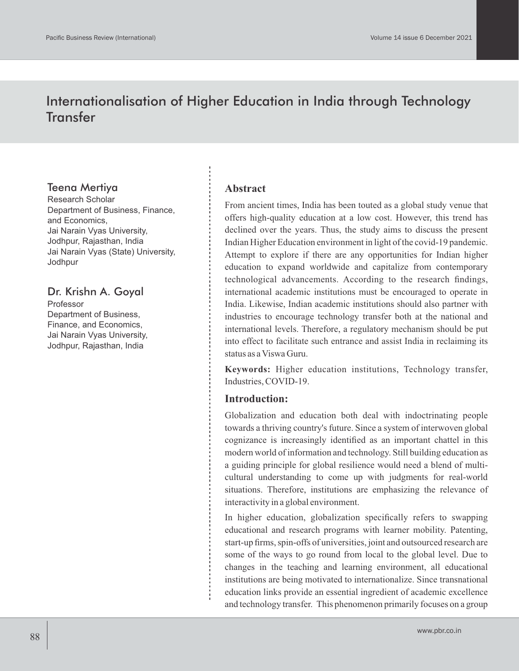# Internationalisation of Higher Education in India through Technology **Transfer**

### Teena Mertiya

Research Scholar Department of Business, Finance, and Economics, Jai Narain Vyas University, Jodhpur, Rajasthan, India Jai Narain Vyas (State) University, Jodhpur

## Dr. Krishn A. Goyal

Professor Department of Business, Finance, and Economics, Jai Narain Vyas University, Jodhpur, Rajasthan, India

#### **Abstract**

From ancient times, India has been touted as a global study venue that offers high-quality education at a low cost. However, this trend has declined over the years. Thus, the study aims to discuss the present Indian Higher Education environment in light of the covid-19 pandemic. Attempt to explore if there are any opportunities for Indian higher education to expand worldwide and capitalize from contemporary technological advancements. According to the research findings, international academic institutions must be encouraged to operate in India. Likewise, Indian academic institutions should also partner with industries to encourage technology transfer both at the national and international levels. Therefore, a regulatory mechanism should be put into effect to facilitate such entrance and assist India in reclaiming its status as a Viswa Guru.

**Keywords:** Higher education institutions, Technology transfer, Industries, COVID-19.

#### **Introduction:**

Globalization and education both deal with indoctrinating people towards a thriving country's future. Since a system of interwoven global cognizance is increasingly identified as an important chattel in this modern world of information and technology. Still building education as a guiding principle for global resilience would need a blend of multicultural understanding to come up with judgments for real-world situations. Therefore, institutions are emphasizing the relevance of interactivity in a global environment.

In higher education, globalization specifically refers to swapping educational and research programs with learner mobility. Patenting, start-up firms, spin-offs of universities, joint and outsourced research are some of the ways to go round from local to the global level. Due to changes in the teaching and learning environment, all educational institutions are being motivated to internationalize. Since transnational education links provide an essential ingredient of academic excellence and technology transfer. This phenomenon primarily focuses on a group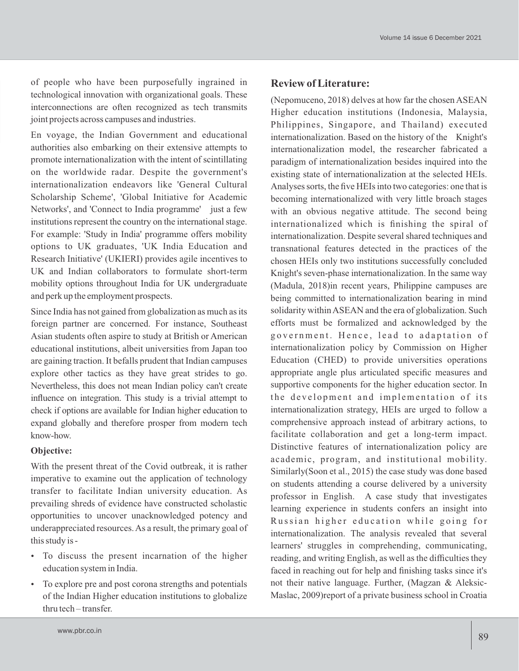of people who have been purposefully ingrained in technological innovation with organizational goals. These interconnections are often recognized as tech transmits joint projects across campuses and industries.

En voyage, the Indian Government and educational authorities also embarking on their extensive attempts to promote internationalization with the intent of scintillating on the worldwide radar. Despite the government's internationalization endeavors like 'General Cultural Scholarship Scheme', 'Global Initiative for Academic Networks', and 'Connect to India programme' just a few institutions represent the country on the international stage. For example: 'Study in India' programme offers mobility options to UK graduates, 'UK India Education and Research Initiative' (UKIERI) provides agile incentives to UK and Indian collaborators to formulate short-term mobility options throughout India for UK undergraduate and perk up the employment prospects.

Since India has not gained from globalization as much as its foreign partner are concerned. For instance, Southeast Asian students often aspire to study at British or American educational institutions, albeit universities from Japan too are gaining traction. It befalls prudent that Indian campuses explore other tactics as they have great strides to go. Nevertheless, this does not mean Indian policy can't create influence on integration. This study is a trivial attempt to check if options are available for Indian higher education to expand globally and therefore prosper from modern tech know-how.

### **Objective:**

With the present threat of the Covid outbreak, it is rather imperative to examine out the application of technology transfer to facilitate Indian university education. As prevailing shreds of evidence have constructed scholastic opportunities to uncover unacknowledged potency and underappreciated resources. As a result, the primary goal of this study is -

- To discuss the present incarnation of the higher education system in India.
- To explore pre and post corona strengths and potentials of the Indian Higher education institutions to globalize thru tech – transfer.

### **Review of Literature:**

(Nepomuceno, 2018) delves at how far the chosen ASEAN Higher education institutions (Indonesia, Malaysia, Philippines, Singapore, and Thailand) executed internationalization. Based on the history of the Knight's internationalization model, the researcher fabricated a paradigm of internationalization besides inquired into the existing state of internationalization at the selected HEIs. Analyses sorts, the five HEIs into two categories: one that is becoming internationalized with very little broach stages with an obvious negative attitude. The second being internationalized which is finishing the spiral of internationalization. Despite several shared techniques and transnational features detected in the practices of the chosen HEIs only two institutions successfully concluded Knight's seven-phase internationalization. In the same way (Madula, 2018)in recent years, Philippine campuses are being committed to internationalization bearing in mind solidarity within ASEAN and the era of globalization. Such efforts must be formalized and acknowledged by the government. Hence, lead to adaptation of internationalization policy by Commission on Higher Education (CHED) to provide universities operations appropriate angle plus articulated specific measures and supportive components for the higher education sector. In the development and implementation of its internationalization strategy, HEIs are urged to follow a comprehensive approach instead of arbitrary actions, to facilitate collaboration and get a long-term impact. Distinctive features of internationalization policy are academic, program, and institutional mobility. Similarly(Soon et al., 2015) the case study was done based on students attending a course delivered by a university professor in English. A case study that investigates learning experience in students confers an insight into Russian higher education while going for internationalization. The analysis revealed that several learners' struggles in comprehending, communicating, reading, and writing English, as well as the difficulties they faced in reaching out for help and finishing tasks since it's not their native language. Further, (Magzan & Aleksic-Maslac, 2009)report of a private business school in Croatia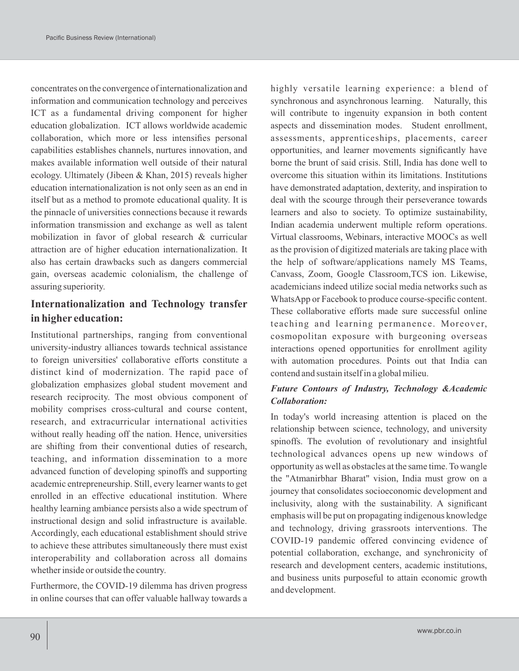concentrates on the convergence of internationalization and information and communication technology and perceives ICT as a fundamental driving component for higher education globalization. ICT allows worldwide academic collaboration, which more or less intensifies personal capabilities establishes channels, nurtures innovation, and makes available information well outside of their natural ecology. Ultimately (Jibeen & Khan, 2015) reveals higher education internationalization is not only seen as an end in itself but as a method to promote educational quality. It is the pinnacle of universities connections because it rewards information transmission and exchange as well as talent mobilization in favor of global research & curricular attraction are of higher education internationalization. It also has certain drawbacks such as dangers commercial gain, overseas academic colonialism, the challenge of assuring superiority.

### **Internationalization and Technology transfer in higher education:**

Institutional partnerships, ranging from conventional university-industry alliances towards technical assistance to foreign universities' collaborative efforts constitute a distinct kind of modernization. The rapid pace of globalization emphasizes global student movement and research reciprocity. The most obvious component of mobility comprises cross-cultural and course content, research, and extracurricular international activities without really heading off the nation. Hence, universities are shifting from their conventional duties of research, teaching, and information dissemination to a more advanced function of developing spinoffs and supporting academic entrepreneurship. Still, every learner wants to get enrolled in an effective educational institution. Where healthy learning ambiance persists also a wide spectrum of instructional design and solid infrastructure is available. Accordingly, each educational establishment should strive to achieve these attributes simultaneously there must exist interoperability and collaboration across all domains whether inside or outside the country.

Furthermore, the COVID-19 dilemma has driven progress in online courses that can offer valuable hallway towards a highly versatile learning experience: a blend of synchronous and asynchronous learning. Naturally, this will contribute to ingenuity expansion in both content aspects and dissemination modes. Student enrollment, assessments, apprenticeships, placements, career opportunities, and learner movements significantly have borne the brunt of said crisis. Still, India has done well to overcome this situation within its limitations. Institutions have demonstrated adaptation, dexterity, and inspiration to deal with the scourge through their perseverance towards learners and also to society. To optimize sustainability, Indian academia underwent multiple reform operations. Virtual classrooms, Webinars, interactive MOOCs as well as the provision of digitized materials are taking place with the help of software/applications namely MS Teams, Canvass, Zoom, Google Classroom,TCS ion. Likewise, academicians indeed utilize social media networks such as WhatsApp or Facebook to produce course-specific content. These collaborative efforts made sure successful online teaching and learning permanence. Moreover, cosmopolitan exposure with burgeoning overseas interactions opened opportunities for enrollment agility with automation procedures. Points out that India can contend and sustain itself in a global milieu.

### *Future Contours of Industry, Technology &Academic Collaboration:*

In today's world increasing attention is placed on the relationship between science, technology, and university spinoffs. The evolution of revolutionary and insightful technological advances opens up new windows of opportunity as well as obstacles at the same time. To wangle the "Atmanirbhar Bharat" vision, India must grow on a journey that consolidates socioeconomic development and inclusivity, along with the sustainability. A significant emphasis will be put on propagating indigenous knowledge and technology, driving grassroots interventions. The COVID-19 pandemic offered convincing evidence of potential collaboration, exchange, and synchronicity of research and development centers, academic institutions, and business units purposeful to attain economic growth and development.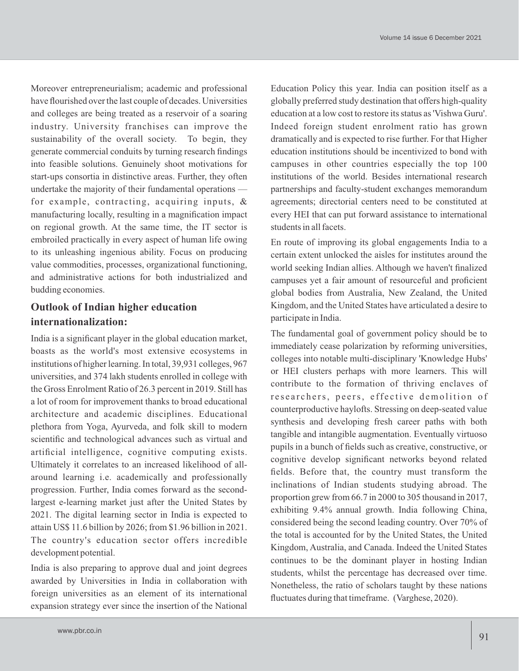Moreover entrepreneurialism; academic and professional have flourished over the last couple of decades. Universities and colleges are being treated as a reservoir of a soaring industry. University franchises can improve the sustainability of the overall society. To begin, they generate commercial conduits by turning research findings into feasible solutions. Genuinely shoot motivations for start-ups consortia in distinctive areas. Further, they often undertake the majority of their fundamental operations for example, contracting, acquiring inputs, & manufacturing locally, resulting in a magnification impact on regional growth. At the same time, the IT sector is embroiled practically in every aspect of human life owing to its unleashing ingenious ability. Focus on producing value commodities, processes, organizational functioning, and administrative actions for both industrialized and budding economies.

### **Outlook of Indian higher education internationalization:**

India is a significant player in the global education market, boasts as the world's most extensive ecosystems in institutions of higher learning. In total, 39,931 colleges, 967 universities, and 374 lakh students enrolled in college with the Gross Enrolment Ratio of 26.3 percent in 2019. Still has a lot of room for improvement thanks to broad educational architecture and academic disciplines. Educational plethora from Yoga, Ayurveda, and folk skill to modern scientific and technological advances such as virtual and artificial intelligence, cognitive computing exists. Ultimately it correlates to an increased likelihood of allaround learning i.e. academically and professionally progression. Further, India comes forward as the secondlargest e-learning market just after the United States by 2021. The digital learning sector in India is expected to attain US\$ 11.6 billion by 2026; from \$1.96 billion in 2021. The country's education sector offers incredible development potential.

India is also preparing to approve dual and joint degrees awarded by Universities in India in collaboration with foreign universities as an element of its international expansion strategy ever since the insertion of the National Education Policy this year. India can position itself as a globally preferred study destination that offers high-quality education at a low cost to restore its status as 'Vishwa Guru'. Indeed foreign student enrolment ratio has grown dramatically and is expected to rise further. For that Higher education institutions should be incentivized to bond with campuses in other countries especially the top 100 institutions of the world. Besides international research partnerships and faculty-student exchanges memorandum agreements; directorial centers need to be constituted at every HEI that can put forward assistance to international students in all facets.

En route of improving its global engagements India to a certain extent unlocked the aisles for institutes around the world seeking Indian allies. Although we haven't finalized campuses yet a fair amount of resourceful and proficient global bodies from Australia, New Zealand, the United Kingdom, and the United States have articulated a desire to participate in India.

The fundamental goal of government policy should be to immediately cease polarization by reforming universities, colleges into notable multi-disciplinary 'Knowledge Hubs' or HEI clusters perhaps with more learners. This will contribute to the formation of thriving enclaves of researchers, peers, effective demolition of counterproductive haylofts. Stressing on deep-seated value synthesis and developing fresh career paths with both tangible and intangible augmentation. Eventually virtuoso pupils in a bunch of fields such as creative, constructive, or cognitive develop significant networks beyond related fields. Before that, the country must transform the inclinations of Indian students studying abroad. The proportion grew from 66.7 in 2000 to 305 thousand in 2017, exhibiting 9.4% annual growth. India following China, considered being the second leading country. Over 70% of the total is accounted for by the United States, the United Kingdom, Australia, and Canada. Indeed the United States continues to be the dominant player in hosting Indian students, whilst the percentage has decreased over time. Nonetheless, the ratio of scholars taught by these nations fluctuates during that timeframe. (Varghese, 2020).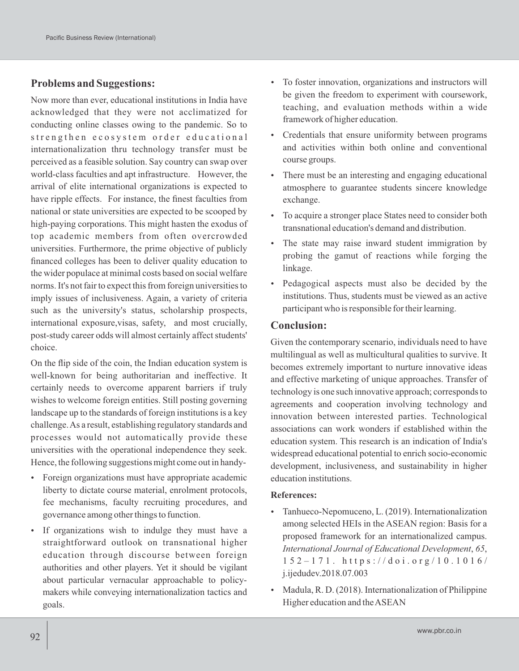### **Problems and Suggestions:**

Now more than ever, educational institutions in India have acknowledged that they were not acclimatized for conducting online classes owing to the pandemic. So to strengthen ecosystem order educational internationalization thru technology transfer must be perceived as a feasible solution. Say country can swap over world-class faculties and apt infrastructure. However, the arrival of elite international organizations is expected to have ripple effects. For instance, the finest faculties from national or state universities are expected to be scooped by high-paying corporations. This might hasten the exodus of top academic members from often overcrowded universities. Furthermore, the prime objective of publicly financed colleges has been to deliver quality education to the wider populace at minimal costs based on social welfare norms. It's not fair to expect this from foreign universities to imply issues of inclusiveness. Again, a variety of criteria such as the university's status, scholarship prospects, international exposure,visas, safety, and most crucially, post-study career odds will almost certainly affect students' choice.

On the flip side of the coin, the Indian education system is well-known for being authoritarian and ineffective. It certainly needs to overcome apparent barriers if truly wishes to welcome foreign entities. Still posting governing landscape up to the standards of foreign institutions is a key challenge. As a result, establishing regulatory standards and processes would not automatically provide these universities with the operational independence they seek. Hence, the following suggestions might come out in handy-

- Foreign organizations must have appropriate academic liberty to dictate course material, enrolment protocols, fee mechanisms, faculty recruiting procedures, and governance among other things to function.
- If organizations wish to indulge they must have a straightforward outlook on transnational higher education through discourse between foreign authorities and other players. Yet it should be vigilant about particular vernacular approachable to policymakers while conveying internationalization tactics and goals.
- To foster innovation, organizations and instructors will be given the freedom to experiment with coursework, teaching, and evaluation methods within a wide framework of higher education.
- Credentials that ensure uniformity between programs and activities within both online and conventional course groups.
- There must be an interesting and engaging educational atmosphere to guarantee students sincere knowledge exchange.
- To acquire a stronger place States need to consider both transnational education's demand and distribution.
- The state may raise inward student immigration by probing the gamut of reactions while forging the linkage.
- Pedagogical aspects must also be decided by the institutions. Thus, students must be viewed as an active participant who is responsible for their learning.

#### **Conclusion:**

Given the contemporary scenario, individuals need to have multilingual as well as multicultural qualities to survive. It becomes extremely important to nurture innovative ideas and effective marketing of unique approaches. Transfer of technology is one such innovative approach; corresponds to agreements and cooperation involving technology and innovation between interested parties. Technological associations can work wonders if established within the education system. This research is an indication of India's widespread educational potential to enrich socio-economic development, inclusiveness, and sustainability in higher education institutions.

#### **References:**

- Tanhueco-Nepomuceno, L. (2019). Internationalization among selected HEIs in the ASEAN region: Basis for a proposed framework for an internationalized campus. *International Journal of Educational Development*, *65*,  $152 - 171$ . https://doi.org/10.1016/ j.ijedudev.2018.07.003
- Madula, R. D. (2018). Internationalization of Philippine Higher education and the ASEAN